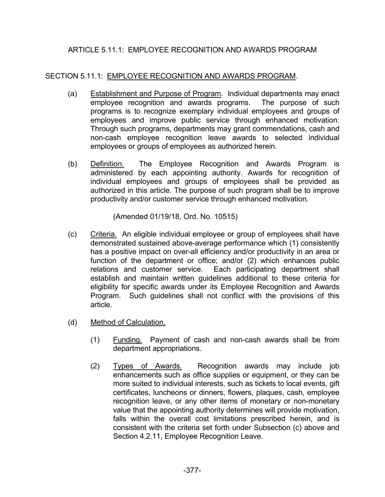## ARTICLE 5.11.1: EMPLOYEE RECOGNITION AND AWARDS PROGRAM

## SECTION 5.11.1: EMPLOYEE RECOGNITION AND AWARDS PROGRAM.

- (a) Establishment and Purpose of Program. Individual departments may enact employee recognition and awards programs. The purpose of such programs is to recognize exemplary individual employees and groups of employees and improve public service through enhanced motivation. Through such programs, departments may grant commendations, cash and non-cash employee recognition leave awards to selected individual employees or groups of employees as authorized herein.
- (b) Definition. The Employee Recognition and Awards Program is administered by each appointing authority. Awards for recognition of individual employees and groups of employees shall be provided as authorized in this article. The purpose of such program shall be to improve productivity and/or customer service through enhanced motivation.

(Amended 01/19/18, Ord. No. 10515)

- (c) Criteria. An eligible individual employee or group of employees shall have demonstrated sustained above-average performance which (1) consistently has a positive impact on over-all efficiency and/or productivity in an area or function of the department or office; and/or (2) which enhances public relations and customer service. Each participating department shall establish and maintain written guidelines additional to these criteria for eligibility for specific awards under its Employee Recognition and Awards Program. Such guidelines shall not conflict with the provisions of this article.
- (d) Method of Calculation.
	- (1) Funding. Payment of cash and non-cash awards shall be from department appropriations.
	- (2) Types of Awards. Recognition awards may include job enhancements such as office supplies or equipment, or they can be more suited to individual interests, such as tickets to local events, gift certificates, luncheons or dinners, flowers, plaques, cash, employee recognition leave, or any other items of monetary or non-monetary value that the appointing authority determines will provide motivation, falls within the overall cost limitations prescribed herein, and is consistent with the criteria set forth under Subsection (c) above and Section 4.2.11, Employee Recognition Leave.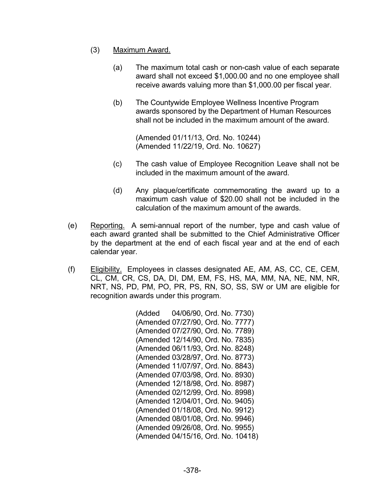- (3) Maximum Award.
	- (a) The maximum total cash or non-cash value of each separate award shall not exceed \$1,000.00 and no one employee shall receive awards valuing more than \$1,000.00 per fiscal year.
	- (b) The Countywide Employee Wellness Incentive Program awards sponsored by the Department of Human Resources shall not be included in the maximum amount of the award.

 (Amended 01/11/13, Ord. No. 10244) (Amended 11/22/19, Ord. No. 10627)

- (c) The cash value of Employee Recognition Leave shall not be included in the maximum amount of the award.
- (d) Any plaque/certificate commemorating the award up to a maximum cash value of \$20.00 shall not be included in the calculation of the maximum amount of the awards.
- (e) Reporting. A semi-annual report of the number, type and cash value of each award granted shall be submitted to the Chief Administrative Officer by the department at the end of each fiscal year and at the end of each calendar year.
- (f) Eligibility. Employees in classes designated AE, AM, AS, CC, CE, CEM, CL, CM, CR, CS, DA, DI, DM, EM, FS, HS, MA, MM, NA, NE, NM, NR, NRT, NS, PD, PM, PO, PR, PS, RN, SO, SS, SW or UM are eligible for recognition awards under this program.

 (Added 04/06/90, Ord. No. 7730) (Amended 07/27/90, Ord. No. 7777) (Amended 07/27/90, Ord. No. 7789) (Amended 12/14/90, Ord. No. 7835) (Amended 06/11/93, Ord. No. 8248) (Amended 03/28/97, Ord. No. 8773) (Amended 11/07/97, Ord. No. 8843) (Amended 07/03/98, Ord. No. 8930) (Amended 12/18/98, Ord. No. 8987) (Amended 02/12/99, Ord. No. 8998) (Amended 12/04/01, Ord. No. 9405) (Amended 01/18/08, Ord. No. 9912) (Amended 08/01/08, Ord. No. 9946) (Amended 09/26/08, Ord. No. 9955) (Amended 04/15/16, Ord. No. 10418)